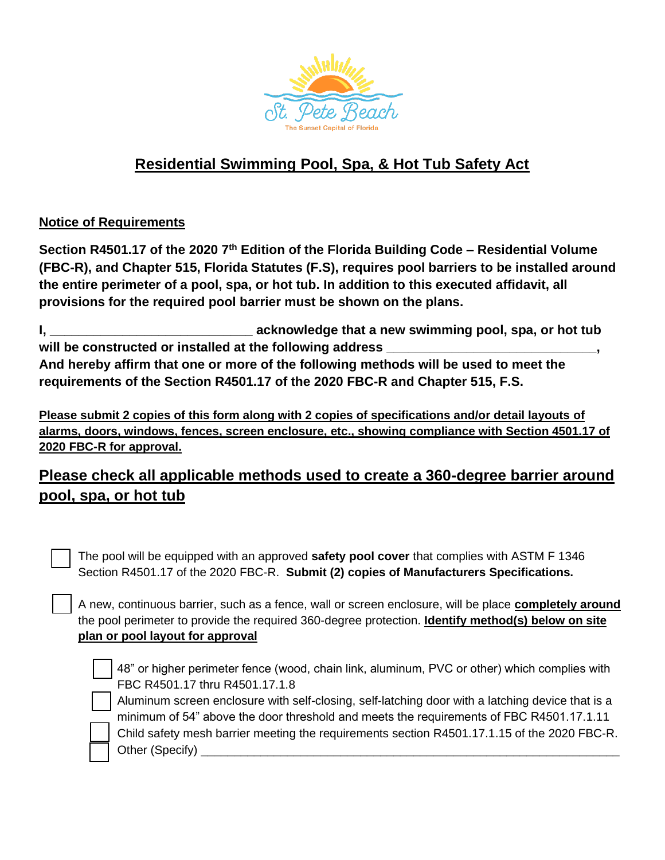

## **Residential Swimming Pool, Spa, & Hot Tub Safety Act**

## **Notice of Requirements**

**Section R4501.17 of the 2020 7th Edition of the Florida Building Code – Residential Volume (FBC-R), and Chapter 515, Florida Statutes (F.S), requires pool barriers to be installed around the entire perimeter of a pool, spa, or hot tub. In addition to this executed affidavit, all provisions for the required pool barrier must be shown on the plans.**

**I, \_\_\_\_\_\_\_\_\_\_\_\_\_\_\_\_\_\_\_\_\_\_\_\_\_\_\_\_ acknowledge that a new swimming pool, spa, or hot tub**  will be constructed or installed at the following address \_ **And hereby affirm that one or more of the following methods will be used to meet the requirements of the Section R4501.17 of the 2020 FBC-R and Chapter 515, F.S.**

**Please submit 2 copies of this form along with 2 copies of specifications and/or detail layouts of alarms, doors, windows, fences, screen enclosure, etc., showing compliance with Section 4501.17 of 2020 FBC-R for approval.**

## **Please check all applicable methods used to create a 360-degree barrier around pool, spa, or hot tub**

 The pool will be equipped with an approved **safety pool cover** that complies with ASTM F 1346 Section R4501.17 of the 2020 FBC-R. **Submit (2) copies of Manufacturers Specifications.**

 A new, continuous barrier, such as a fence, wall or screen enclosure, will be place **completely around** the pool perimeter to provide the required 360-degree protection. **Identify method(s) below on site plan or pool layout for approval**

 48" or higher perimeter fence (wood, chain link, aluminum, PVC or other) which complies with FBC R4501.17 thru R4501.17.1.8

 Aluminum screen enclosure with self-closing, self-latching door with a latching device that is a minimum of 54" above the door threshold and meets the requirements of FBC R4501.17.1.11

 Child safety mesh barrier meeting the requirements section R4501.17.1.15 of the 2020 FBC-R. Other (Specify) **Example 20**